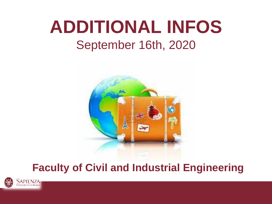# **ADDITIONAL INFOS** September 16th, 2020



# **Faculty of Civil and Industrial Engineering**

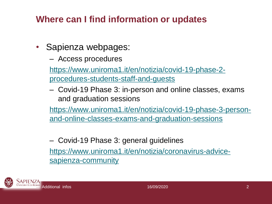#### **Where can I find information or updates**

- Sapienza webpages:
	- Access procedures

[https://www.uniroma1.it/en/notizia/covid-19-phase-2](https://www.uniroma1.it/en/notizia/covid-19-phase-2-procedures-students-staff-and-guests) procedures-students-staff-and-guests

– Covid-19 Phase 3: in-person and online classes, exams and graduation sessions

[https://www.uniroma1.it/en/notizia/covid-19-phase-3-person](https://www.uniroma1.it/en/notizia/covid-19-phase-3-person-and-online-classes-exams-and-graduation-sessions)and-online-classes-exams-and-graduation-sessions

– Covid-19 Phase 3: general guidelines [https://www.uniroma1.it/en/notizia/coronavirus-advice](https://www.uniroma1.it/en/notizia/coronavirus-advice-sapienza-community)sapienza-community

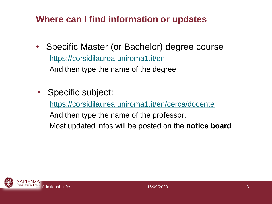# **Where can I find information or updates**

- Specific Master (or Bachelor) degree course <https://corsidilaurea.uniroma1.it/en> And then type the name of the degree
- Specific subject:

<https://corsidilaurea.uniroma1.it/en/cerca/docente>

And then type the name of the professor.

Most updated infos will be posted on the **notice board**

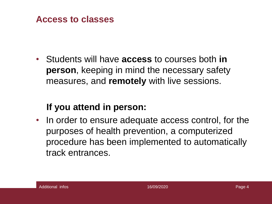

• Students will have **access** to courses both **in person**, keeping in mind the necessary safety measures, and **remotely** with live sessions.

#### **If you attend in person:**

• In order to ensure adequate access control, for the purposes of health prevention, a computerized procedure has been implemented to automatically track entrances.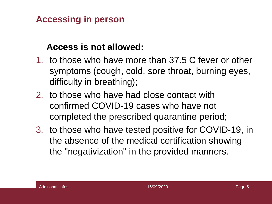#### **Accessing in person**

#### **Access is not allowed:**

- 1. to those who have more than 37.5 C fever or other symptoms (cough, cold, sore throat, burning eyes, difficulty in breathing);
- 2. to those who have had close contact with confirmed COVID-19 cases who have not completed the prescribed quarantine period;
- 3. to those who have tested positive for COVID-19, in the absence of the medical certification showing the "negativization" in the provided manners.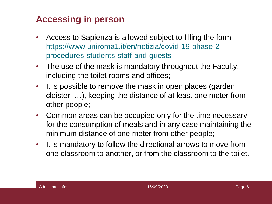#### **Accessing in person**

- Access to Sapienza is allowed subject to filling the form [https://www.uniroma1.it/en/notizia/covid-19-phase-2](https://www.uniroma1.it/en/notizia/covid-19-phase-2-procedures-students-staff-and-guests) procedures-students-staff-and-guests
- The use of the mask is mandatory throughout the Faculty, including the toilet rooms and offices;
- It is possible to remove the mask in open places (garden, cloister, …), keeping the distance of at least one meter from other people;
- Common areas can be occupied only for the time necessary for the consumption of meals and in any case maintaining the minimum distance of one meter from other people;
- It is mandatory to follow the directional arrows to move from one classroom to another, or from the classroom to the toilet.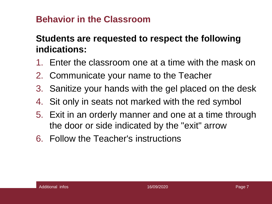#### **Behavior in the Classroom**

## **Students are requested to respect the following indications:**

- 1. Enter the classroom one at a time with the mask on
- 2. Communicate your name to the Teacher
- 3. Sanitize your hands with the gel placed on the desk
- 4. Sit only in seats not marked with the red symbol
- 5. Exit in an orderly manner and one at a time through the door or side indicated by the "exit" arrow
- 6. Follow the Teacher's instructions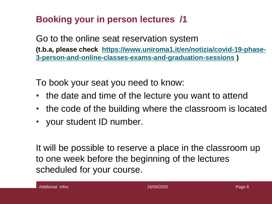# **Booking your in person lectures /1**

Go to the online seat reservation system **[\(t.b.a, please check https://www.uniroma1.it/en/notizia/covid-19-phase-](https://www.uniroma1.it/en/notizia/covid-19-phase-3-person-and-online-classes-exams-and-graduation-sessions)3-person-and-online-classes-exams-and-graduation-sessions )**

To book your seat you need to know:

- the date and time of the lecture you want to attend
- the code of the building where the classroom is located
- your student ID number.

It will be possible to reserve a place in the classroom up to one week before the beginning of the lectures scheduled for your course.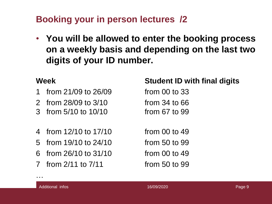# **Booking your in person lectures /2**

• **You will be allowed to enter the booking process on a weekly basis and depending on the last two digits of your ID number.**

- 1 from 21/09 to 26/09 from 00 to 33
- 2 from 28/09 to 3/10 from 34 to 66
- 3 from 5/10 to 10/10 from 67 to 99
- 4 from 12/10 to 17/10 from 00 to 49
- 5 from 19/10 to 24/10 from 50 to 99
- 6 from 26/10 to 31/10 from 00 to 49
- 7 from 2/11 to 7/11 from 50 to 99

#### **Week Student ID with final digits**

…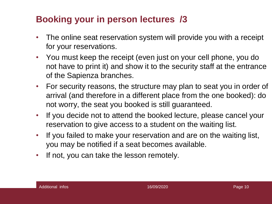### **Booking your in person lectures /3**

- The online seat reservation system will provide you with a receipt for your reservations.
- You must keep the receipt (even just on your cell phone, you do not have to print it) and show it to the security staff at the entrance of the Sapienza branches.
- For security reasons, the structure may plan to seat you in order of arrival (and therefore in a different place from the one booked): do not worry, the seat you booked is still guaranteed.
- If you decide not to attend the booked lecture, please cancel your reservation to give access to a student on the waiting list.
- If you failed to make your reservation and are on the waiting list, you may be notified if a seat becomes available.
- If not, you can take the lesson remotely.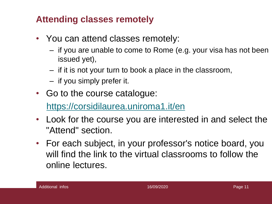#### **Attending classes remotely**

- You can attend classes remotely:
	- if you are unable to come to Rome (e.g. your visa has not been issued yet),
	- if it is not your turn to book a place in the classroom,
	- if you simply prefer it.
- Go to the course catalogue:

<https://corsidilaurea.uniroma1.it/en>

- Look for the course you are interested in and select the "Attend" section.
- For each subject, in your professor's notice board, you will find the link to the virtual classrooms to follow the online lectures.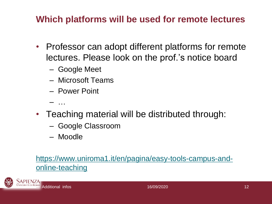#### **Which platforms will be used for remote lectures**

- Professor can adopt different platforms for remote lectures. Please look on the prof.'s notice board
	- Google Meet
	- Microsoft Teams
	- Power Point
	- $-$
- Teaching material will be distributed through:
	- Google Classroom
	- Moodle

#### [https://www.uniroma1.it/en/pagina/easy-tools-campus-and](https://www.uniroma1.it/en/pagina/easy-tools-campus-and-online-teaching)online-teaching

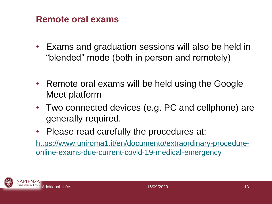#### **Remote oral exams**

- Exams and graduation sessions will also be held in "blended" mode (both in person and remotely)
- Remote oral exams will be held using the Google Meet platform
- Two connected devices (e.g. PC and cellphone) are generally required.
- Please read carefully the procedures at:

[https://www.uniroma1.it/en/documento/extraordinary-procedure](https://www.uniroma1.it/en/documento/extraordinary-procedure-online-exams-due-current-covid-19-medical-emergency)online-exams-due-current-covid-19-medical-emergency

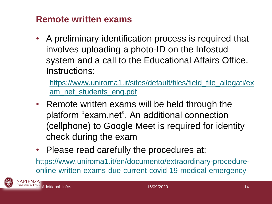#### **Remote written exams**

• A preliminary identification process is required that involves uploading a photo-ID on the Infostud system and a call to the Educational Affairs Office. Instructions:

[https://www.uniroma1.it/sites/default/files/field\\_file\\_allegati/ex](https://www.uniroma1.it/sites/default/files/field_file_allegati/exam_net_students_eng.pdf) am\_net\_students\_eng.pdf

- Remote written exams will be held through the platform "exam.net". An additional connection (cellphone) to Google Meet is required for identity check during the exam
- Please read carefully the procedures at:

https://www.uniroma1.it/en/documento/extraordinary-procedure[online-written-exams-due-current-covid-19-medical-emergency](https://www.uniroma1.it/en/documento/extraordinary-procedure-online-written-exams-due-current-covid-19-medical-emergency)



**APIENZA**